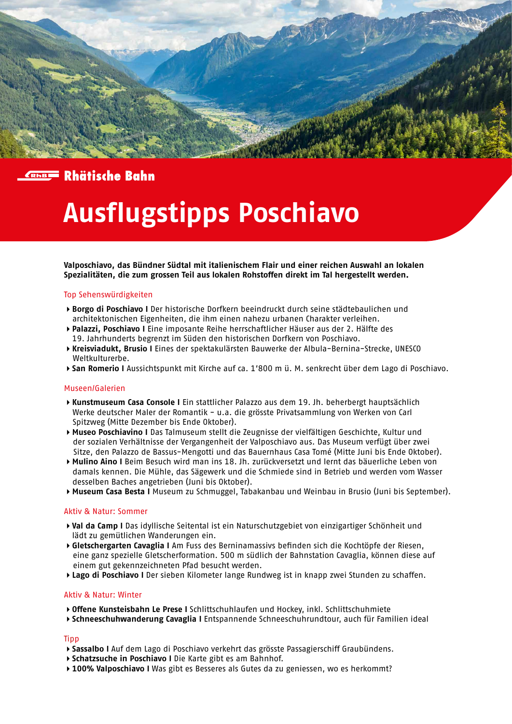



# **Ausflugstipps Poschiavo**

**Valposchiavo, das Bündner Südtal mit italienischem Flair und einer reichen Auswahl an lokalen Spezialitäten, die zum grossen Teil aus lokalen Rohstoffen direkt im Tal hergestellt werden.**

## Top Sehenswürdigkeiten

- **Borgo di Poschiavo I** Der historische Dorfkern beeindruckt durch seine städtebaulichen und architektonischen Eigenheiten, die ihm einen nahezu urbanen Charakter verleihen.
- **Palazzi, Poschiavo I** Eine imposante Reihe herrschaftlicher Häuser aus der 2. Hälfte des
- 19. Jahrhunderts begrenzt im Süden den historischen Dorfkern von Poschiavo.
- **Kreisviadukt, Brusio I** Eines der spektakulärsten Bauwerke der Albula-Bernina-Strecke, UNESCO Weltkulturerbe.
- **San Romerio I** Aussichtspunkt mit Kirche auf ca. 1'800 m ü. M. senkrecht über dem Lago di Poschiavo.

### Museen/Galerien

- **Kunstmuseum Casa Console I** Ein stattlicher Palazzo aus dem 19. Jh. beherbergt hauptsächlich Werke deutscher Maler der Romantik - u.a. die grösste Privatsammlung von Werken von Carl Spitzweg (Mitte Dezember bis Ende Oktober).
- **Museo Poschiavino I** Das Talmuseum stellt die Zeugnisse der vielfältigen Geschichte, Kultur und der sozialen Verhältnisse der Vergangenheit der Valposchiavo aus. Das Museum verfügt über zwei Sitze, den Palazzo de Bassus-Mengotti und das Bauernhaus Casa Tomé (Mitte Juni bis Ende Oktober).
- **Mulino Aino I** Beim Besuch wird man ins 18. Jh. zurückversetzt und lernt das bäuerliche Leben von damals kennen. Die Mühle, das Sägewerk und die Schmiede sind in Betrieb und werden vom Wasser desselben Baches angetrieben (Juni bis Oktober).
- **Museum Casa Besta I** Museum zu Schmuggel, Tabakanbau und Weinbau in Brusio (Juni bis September).

### Aktiv & Natur: Sommer

- **Val da Camp I** Das idyllische Seitental ist ein Naturschutzgebiet von einzigartiger Schönheit und lädt zu gemütlichen Wanderungen ein.
- **Gletschergarten Cavaglia I** Am Fuss des Berninamassivs befinden sich die Kochtöpfe der Riesen, eine ganz spezielle Gletscherformation. 500 m südlich der Bahnstation Cavaglia, können diese auf einem gut gekennzeichneten Pfad besucht werden.
- **Lago di Poschiavo I** Der sieben Kilometer lange Rundweg ist in knapp zwei Stunden zu schaffen.

### Aktiv & Natur: Winter

- **Offene Kunsteisbahn Le Prese I** Schlittschuhlaufen und Hockey, inkl. Schlittschuhmiete
- **Schneeschuhwanderung Cavaglia I** Entspannende Schneeschuhrundtour, auch für Familien ideal

### **Tipp**

- **Sassalbo I** Auf dem Lago di Poschiavo verkehrt das grösste Passagierschiff Graubündens.
- **Schatzsuche in Poschiavo I** Die Karte gibt es am Bahnhof.
- **100% Valposchiavo I** Was gibt es Besseres als Gutes da zu geniessen, wo es herkommt?